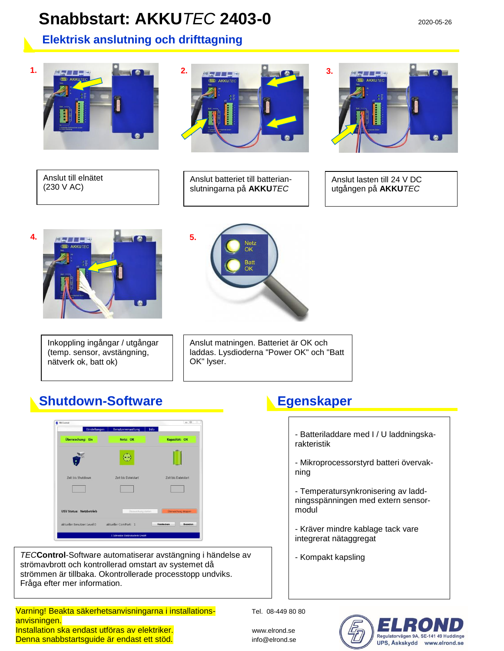## **Snabbstart: AKKU** *TEC* **2403-0** 2020-05-26

### **Elektrisk anslutning och drifttagning**



Anslut till elnätet (230 V AC)



Anslut batteriet till batterianslutningarna på **AKKU***TEC*



Anslut lasten till 24 V DC utgången på **AKKU***TEC*



Inkoppling ingångar / utgångar (temp. sensor, avstängning, nätverk ok, batt ok)



Anslut matningen. Batteriet är OK och laddas. Lysdioderna "Power OK" och "Batt OK" lyser.

## **Shutdown-Software Communist Egenskaper**



*TEC***Control**-Software automatiserar avstängning i händelse av strömavbrott och kontrollerad omstart av systemet då strömmen är tillbaka. Okontrollerade processtopp undviks. Fråga efter mer information.

### Varning! Beakta säkerhetsanvisningarna i installations-<br>Varning! Beakta säkerhetsanvisningarna i installationsanvisningen. Installation ska endast utföras av elektriker. Www.elrond.se Denna snabbstartsguide är endast ett stöd. info@elrond.se

- Batteriladdare med I / U laddningskarakteristik

- Mikroprocessorstyrd batteri övervakning

- Temperatursynkronisering av laddningsspänningen med extern sensormodul

- Kräver mindre kablage tack vare integrerat nätaggregat

- Kompakt kapsling